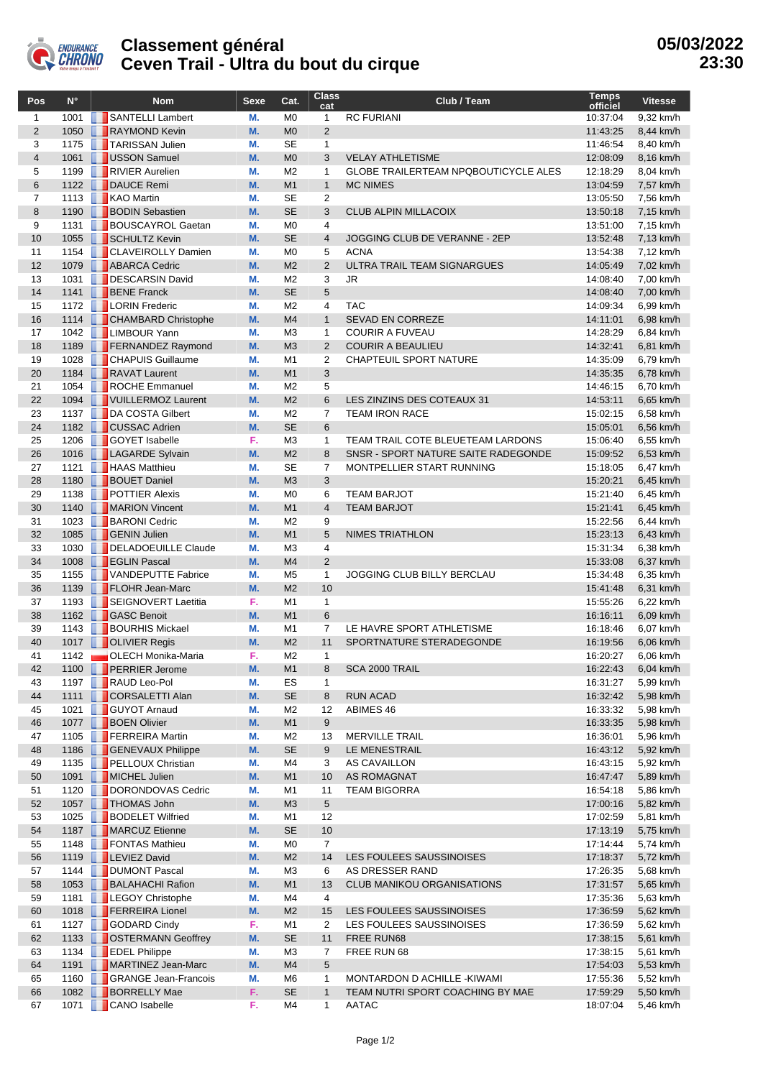

## **Classement général Ceven Trail - Ultra du bout du cirque**

| Pos            | $N^{\circ}$  | <b>Nom</b>                                   | Sexe     | Cat.                             | <b>Class</b><br>cat  | Club / Team                                 | <b>Temps</b><br>officiel | <b>Vitesse</b>         |
|----------------|--------------|----------------------------------------------|----------|----------------------------------|----------------------|---------------------------------------------|--------------------------|------------------------|
| $\mathbf{1}$   | 1001         | SANTELLI Lambert                             | М.       | M <sub>0</sub>                   | $\mathbf{1}$         | <b>RC FURIANI</b>                           | 10:37:04                 | 9,32 km/h              |
| $\overline{2}$ | 1050         | RAYMOND Kevin                                | M.       | M <sub>0</sub>                   | 2                    |                                             | 11:43:25                 | 8,44 km/h              |
| 3              | 1175         | <b>TARISSAN Julien</b>                       | М.       | <b>SE</b>                        | $\mathbf{1}$         |                                             | 11:46:54                 | 8,40 km/h              |
| $\overline{4}$ | 1061         | USSON Samuel                                 | M.       | M <sub>0</sub>                   | 3                    | <b>VELAY ATHLETISME</b>                     | 12:08:09                 | 8,16 km/h              |
| 5              | 1199         | RIVIER Aurelien                              | М.       | M <sub>2</sub>                   | $\mathbf{1}$         | <b>GLOBE TRAILERTEAM NPQBOUTICYCLE ALES</b> | 12:18:29                 | 8,04 km/h              |
| 6              |              | 1122 <b>DAUCE</b> Remi                       | M.       | M1                               | $\mathbf{1}$         | <b>MC NIMES</b>                             | 13:04:59                 | 7,57 km/h              |
| $\overline{7}$ | 1113         | <b>KAO Martin</b>                            | М.       | <b>SE</b>                        | $\overline{2}$       |                                             | 13:05:50                 | 7,56 km/h              |
| 8              | 1190         | <b>BODIN Sebastien</b>                       | M.       | <b>SE</b>                        | 3                    | <b>CLUB ALPIN MILLACOIX</b>                 | 13:50:18                 | 7,15 km/h              |
| 9              | 1131         | <b>BOUSCAYROL Gaetan</b>                     | М.       | M <sub>0</sub>                   | 4                    |                                             | 13:51:00                 | 7,15 km/h              |
| 10             | 1055         | SCHULTZ Kevin                                | M.       | <b>SE</b>                        | $\overline{4}$       | JOGGING CLUB DE VERANNE - 2EP               | 13:52:48                 | 7,13 km/h              |
| 11             | 1154         | <b>CLAVEIROLLY Damien</b>                    | М.       | M <sub>0</sub>                   | 5                    | <b>ACNA</b>                                 | 13:54:38                 | 7,12 km/h              |
| 12             | 1079         | <b>ABARCA</b> Cedric<br>DESCARSIN David      | M.       | M <sub>2</sub>                   | $\overline{2}$       | ULTRA TRAIL TEAM SIGNARGUES                 | 14:05:49                 | 7,02 km/h              |
| 13<br>14       | 1031         | 1141 <b>BENE</b> Franck                      | М.<br>M. | M <sub>2</sub><br><b>SE</b>      | 3<br>5               | <b>JR</b>                                   | 14:08:40<br>14:08:40     | 7,00 km/h              |
| 15             | 1172         | <b>LORIN</b> Frederic                        | М.       | M <sub>2</sub>                   | $\overline{4}$       | <b>TAC</b>                                  | 14:09:34                 | 7,00 km/h<br>6,99 km/h |
| 16             | 1114         | <b>CHAMBARD Christophe</b>                   | M.       | M <sub>4</sub>                   | $\mathbf{1}$         | SEVAD EN CORREZE                            | 14:11:01                 | 6,98 km/h              |
| 17             |              | 1042   LIMBOUR Yann                          | М.       | M <sub>3</sub>                   | $\mathbf{1}$         | <b>COURIR A FUVEAU</b>                      | 14:28:29                 | 6,84 km/h              |
| 18             | 1189         | <b>FERNANDEZ Raymond</b>                     | M.       | M <sub>3</sub>                   | 2                    | <b>COURIR A BEAULIEU</b>                    | 14:32:41                 | 6,81 km/h              |
| 19             | 1028         | <b>CHAPUIS Guillaume</b>                     | М.       | M <sub>1</sub>                   | 2                    | <b>CHAPTEUIL SPORT NATURE</b>               | 14:35:09                 | 6,79 km/h              |
| 20             | 1184         | RAVAT Laurent                                | M.       | M <sub>1</sub>                   | 3                    |                                             | 14:35:35                 | 6,78 km/h              |
| 21             | 1054         | ROCHE Emmanuel                               | М.       | M <sub>2</sub>                   | 5                    |                                             | 14:46:15                 | 6,70 km/h              |
| 22             |              | 1094   VUILLERMOZ Laurent                    | M.       | M <sub>2</sub>                   | 6                    | LES ZINZINS DES COTEAUX 31                  | 14:53:11                 | 6,65 km/h              |
| 23             | 1137         | DA COSTA Gilbert                             | М.       | M <sub>2</sub>                   | $\overline{7}$       | <b>TEAM IRON RACE</b>                       | 15:02:15                 | 6,58 km/h              |
| 24             | 1182         | <b>CUSSAC Adrien</b>                         | M.       | <b>SE</b>                        | 6                    |                                             | 15:05:01                 | 6,56 km/h              |
| 25             | 1206         | <b>GOYET</b> Isabelle                        | F.       | M <sub>3</sub>                   | $\mathbf{1}$         | TEAM TRAIL COTE BLEUETEAM LARDONS           | 15:06:40                 | 6,55 km/h              |
| 26             | 1016         | <b>LAGARDE Sylvain</b>                       | M.       | M <sub>2</sub>                   | 8                    | SNSR - SPORT NATURE SAITE RADEGONDE         | 15:09:52                 | 6,53 km/h              |
| 27             | 1121         | <b>HAAS</b> Matthieu                         | М.       | <b>SE</b>                        | $\overline{7}$       | MONTPELLIER START RUNNING                   | 15:18:05                 | 6,47 km/h              |
| 28             | 1180         | <b>BOUET Daniel</b>                          | M.       | M <sub>3</sub>                   | 3                    |                                             | 15:20:21                 | 6,45 km/h              |
| 29             | 1138         | <b>FEDER</b> Alexis                          | М.       | M <sub>0</sub>                   | 6                    | <b>TEAM BARJOT</b>                          | 15:21:40                 | 6,45 km/h              |
| 30             | 1140         | MARION Vincent                               | M.       | M <sub>1</sub>                   | $\overline{4}$       | <b>TEAM BARJOT</b>                          | 15:21:41                 | 6,45 km/h              |
| 31             | 1023         | <b>BARONI</b> Cedric                         | М.       | M <sub>2</sub>                   | 9                    |                                             | 15:22:56                 | 6,44 km/h              |
| 32             | 1085         | <b>GENIN Julien</b>                          | M.       | M <sub>1</sub>                   | 5                    | <b>NIMES TRIATHLON</b>                      | 15:23:13                 | 6,43 km/h              |
| 33             | 1030         | DELADOEUILLE Claude                          | М.       | M <sub>3</sub>                   | 4                    |                                             | 15:31:34                 | 6,38 km/h              |
| 34             | 1008         | <b>EGLIN Pascal</b>                          | M.       | M <sub>4</sub>                   | 2                    |                                             | 15:33:08                 | 6,37 km/h              |
| 35<br>36       | 1155<br>1139 | VANDEPUTTE Fabrice<br><b>FLOHR Jean-Marc</b> | М.<br>M. | M <sub>5</sub><br>M <sub>2</sub> | 1<br>10              | JOGGING CLUB BILLY BERCLAU                  | 15:34:48<br>15:41:48     | 6,35 km/h<br>6,31 km/h |
| 37             | 1193         | SEIGNOVERT Laetitia                          | F.       | M <sub>1</sub>                   | $\mathbf{1}$         |                                             | 15:55:26                 | 6,22 km/h              |
| 38             |              | 1162 GASC Benoit                             | M.       | M <sub>1</sub>                   | 6                    |                                             | 16:16:11                 | 6,09 km/h              |
| 39             | 1143         | <b>BOURHIS Mickael</b>                       | М.       | M <sub>1</sub>                   | $\overline{7}$       | LE HAVRE SPORT ATHLETISME                   | 16:18:46                 | 6,07 km/h              |
| 40             | 1017         | <b>DE OLIVIER Regis</b>                      | M.       | M <sub>2</sub>                   | 11                   | SPORTNATURE STERADEGONDE                    | 16:19:56                 | 6,06 km/h              |
| 41             | 1142         | OLECH Monika-Maria                           | F.       | M <sub>2</sub>                   | $\mathbf{1}$         |                                             | 16:20:27                 | 6.06 km/h              |
| 42             |              | 1100 PERRIER Jerome                          | M.       | M <sub>1</sub>                   | 8                    | SCA 2000 TRAIL                              | 16:22:43                 | 6,04 km/h              |
| 43             | 1197         | RAUD Leo-Pol                                 | М.       | ES                               | 1                    |                                             | 16:31:27                 | 5,99 km/h              |
| 44             | 1111         | CORSALETTI Alan                              | M.       | <b>SE</b>                        | 8                    | <b>RUN ACAD</b>                             | 16:32:42                 | 5,98 km/h              |
| 45             | 1021         | <b>GUYOT Arnaud</b>                          | М.       | M <sub>2</sub>                   | 12                   | ABIMES 46                                   | 16:33:32                 | 5,98 km/h              |
| 46             |              | 1077 <b>BOEN</b> Olivier                     | M.       | M1                               | 9                    |                                             | 16:33:35                 | 5,98 km/h              |
| 47             | 1105         | <b>FERREIRA</b> Martin                       | М.       | M <sub>2</sub>                   | 13                   | <b>MERVILLE TRAIL</b>                       | 16:36:01                 | 5,96 km/h              |
| 48             | 1186         | GENEVAUX Philippe                            | M.       | <b>SE</b>                        | 9                    | LE MENESTRAIL                               | 16:43:12                 | 5,92 km/h              |
| 49             | 1135         | <b>PELLOUX Christian</b>                     | М.       | M4                               | 3                    | AS CAVAILLON                                | 16:43:15                 | 5,92 km/h              |
| 50             | 1091         | MICHEL Julien                                | M.       | M <sub>1</sub>                   | 10                   | AS ROMAGNAT                                 | 16:47:47                 | 5,89 km/h              |
| 51             | 1120         | DORONDOVAS Cedric                            | М.       | M1                               | 11                   | <b>TEAM BIGORRA</b>                         | 16:54:18                 | 5,86 km/h              |
| 52             | 1057         | THOMAS John                                  | M.       | M <sub>3</sub>                   | 5                    |                                             | 17:00:16                 | 5,82 km/h              |
| 53             | 1025         | <b>BODELET Wilfried</b>                      | M.       | M1                               | 12                   |                                             | 17:02:59                 | 5,81 km/h              |
| 54             |              | 1187 MARCUZ Etienne                          | M.       | <b>SE</b>                        | 10                   |                                             | 17:13:19                 | 5,75 km/h              |
| 55<br>56       | 1148         | FONTAS Mathieu<br>1119   LEVIEZ David        | М.<br>M. | M <sub>0</sub><br>M <sub>2</sub> | $\overline{7}$<br>14 | LES FOULEES SAUSSINOISES                    | 17:14:44<br>17:18:37     | 5,74 km/h<br>5,72 km/h |
| 57             | 1144         | <b>DUMONT Pascal</b>                         | М.       | M3                               | 6                    | AS DRESSER RAND                             | 17:26:35                 | 5,68 km/h              |
| 58             |              | 1053 <b>BALAHACHI Rafion</b>                 | M.       | M <sub>1</sub>                   | 13                   | <b>CLUB MANIKOU ORGANISATIONS</b>           | 17:31:57                 | 5,65 km/h              |
| 59             | 1181         | LEGOY Christophe                             | М.       | M4                               | 4                    |                                             | 17:35:36                 | 5,63 km/h              |
| 60             |              | 1018 <b>FERREIRA Lionel</b>                  | M.       | M <sub>2</sub>                   | 15                   | LES FOULEES SAUSSINOISES                    | 17:36:59                 | 5,62 km/h              |
| 61             | 1127         | GODARD Cindy                                 | F.       | M1                               | 2                    | LES FOULEES SAUSSINOISES                    | 17:36:59                 | 5,62 km/h              |
| 62             |              | 1133   OSTERMANN Geoffrey                    | M.       | <b>SE</b>                        | 11                   | FREE RUN68                                  | 17:38:15                 | 5,61 km/h              |
| 63             | 1134         | <b>EDEL Philippe</b>                         | М.       | M <sub>3</sub>                   | 7                    | FREE RUN 68                                 | 17:38:15                 | 5,61 km/h              |
| 64             | 1191         | MARTINEZ Jean-Marc                           | M.       | M4                               | 5                    |                                             | 17:54:03                 | 5,53 km/h              |
| 65             | 1160         | <b>GRANGE Jean-Francois</b>                  | М.       | M6                               | 1                    | MONTARDON D ACHILLE - KIWAMI                | 17:55:36                 | 5,52 km/h              |
| 66             |              | 1082 <b>BORRELLY Mae</b>                     | F.       | <b>SE</b>                        | $\mathbf{1}$         | TEAM NUTRI SPORT COACHING BY MAE            | 17:59:29                 | 5,50 km/h              |
| 67             | 1071         | <b>CANO</b> Isabelle                         | F.       | M4                               | $\mathbf{1}$         | AATAC                                       | 18:07:04                 | 5,46 km/h              |